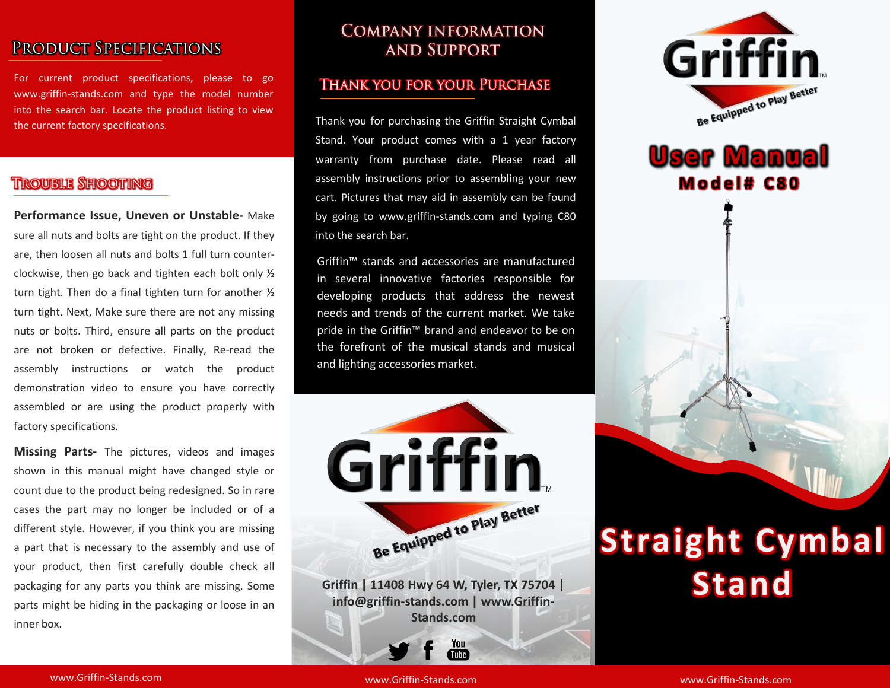## PRODUCT SPECIFICATIONS

For current product specifications, please to go www.griffin-stands.com and type the model number into the search bar. Locate the product listing to view the current factory specifications.

## **TROUBLE SHOOTING**

**Performance Issue, Uneven or Unstable-** Make sure all nuts and bolts are tight on the product. If they are, then loosen all nuts and bolts 1 full turn counterclockwise, then go back and tighten each bolt only ½ turn tight. Then do a final tighten turn for another ½ turn tight. Next, Make sure there are not any missing nuts or bolts. Third, ensure all parts on the product are not broken or defective. Finally, Re-read the assembly instructions or watch the product demonstration video to ensure you have correctly assembled or are using the product properly with factory specifications.

**Missing Parts-** The pictures, videos and images shown in this manual might have changed style or count due to the product being redesigned. So in rare cases the part may no longer be included or of a different style. However, if you think you are missing a part that is necessary to the assembly and use of your product, then first carefully double check all packaging for any parts you think are missing. Some parts might be hiding in the packaging or loose in an inner box.

## **COMPANY INFORMATION AND SUPPORT**

#### **THANK YOU FOR YOUR PURCHASE**

Thank you for purchasing the Griffin Straight Cymbal Stand. Your product comes with a 1 year factory warranty from purchase date. Please read all assembly instructions prior to assembling your new cart. Pictures that may aid in assembly can be found by going to www.griffin-stands.com and typing C80 into the search bar.

Griffin™ stands and accessories are manufactured in several innovative factories responsible for developing products that address the newest needs and trends of the current market. We take pride in the Griffin<sup>™</sup> brand and endeavor to be on the forefront of the musical stands and musical and lighting accessories market.



**Griffin | 11408 Hwy 64 W, Tyler, TX 75704 | info@griffin-stands.com | www.Griffin-Stands.com**

> You Tube<sup>7</sup>



# **User Manual M o d e l # C 8 0**

# **Straight Cymbal Stand**

www.Griffin-Stands.com and the stands of the stands of the stands of the stands of the stands of the stands.com

www.Griffin-Stands.com